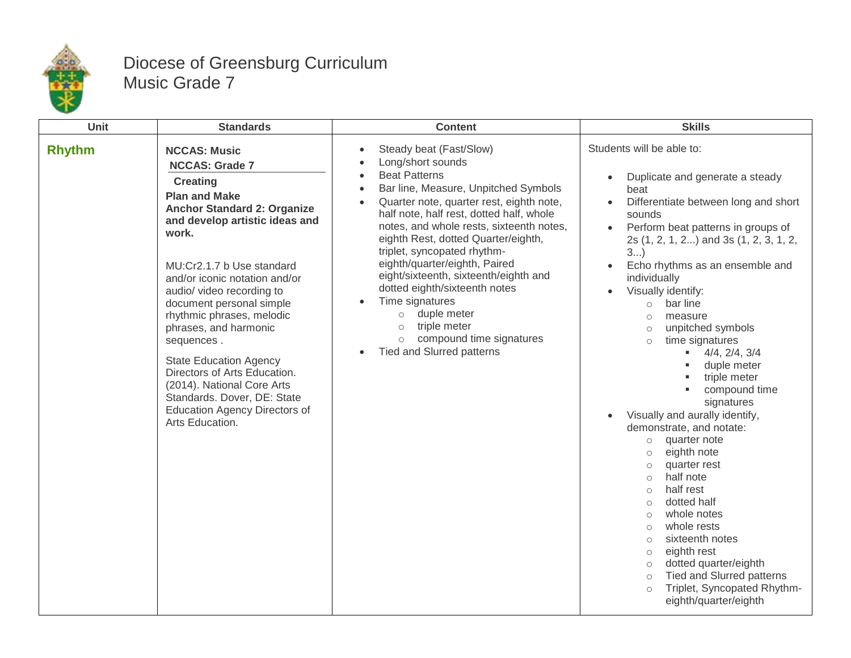

## Diocese of Greensburg Curriculum Music Grade 7

| Unit          | <b>Standards</b>                                                                                                                                                                                                                                                                                                                                                                                                                                                                                                                                             | <b>Content</b>                                                                                                                                                                                                                                                                                                                                                                                                                                                                                                                                                                                                                                        | <b>Skills</b>                                                                                                                                                                                                                                                                                                                                                                                                                                                                                                                                                                                                                                                                                                                                                                                                                                                                                                                                                                                                      |
|---------------|--------------------------------------------------------------------------------------------------------------------------------------------------------------------------------------------------------------------------------------------------------------------------------------------------------------------------------------------------------------------------------------------------------------------------------------------------------------------------------------------------------------------------------------------------------------|-------------------------------------------------------------------------------------------------------------------------------------------------------------------------------------------------------------------------------------------------------------------------------------------------------------------------------------------------------------------------------------------------------------------------------------------------------------------------------------------------------------------------------------------------------------------------------------------------------------------------------------------------------|--------------------------------------------------------------------------------------------------------------------------------------------------------------------------------------------------------------------------------------------------------------------------------------------------------------------------------------------------------------------------------------------------------------------------------------------------------------------------------------------------------------------------------------------------------------------------------------------------------------------------------------------------------------------------------------------------------------------------------------------------------------------------------------------------------------------------------------------------------------------------------------------------------------------------------------------------------------------------------------------------------------------|
| <b>Rhythm</b> | <b>NCCAS: Music</b><br><b>NCCAS: Grade 7</b><br><b>Creating</b><br><b>Plan and Make</b><br><b>Anchor Standard 2: Organize</b><br>and develop artistic ideas and<br>work.<br>MU:Cr2.1.7 b Use standard<br>and/or iconic notation and/or<br>audio/ video recording to<br>document personal simple<br>rhythmic phrases, melodic<br>phrases, and harmonic<br>sequences.<br><b>State Education Agency</b><br>Directors of Arts Education.<br>(2014). National Core Arts<br>Standards. Dover, DE: State<br><b>Education Agency Directors of</b><br>Arts Education. | Steady beat (Fast/Slow)<br>$\bullet$<br>Long/short sounds<br>$\bullet$<br><b>Beat Patterns</b><br>$\bullet$<br>Bar line, Measure, Unpitched Symbols<br>$\bullet$<br>Quarter note, quarter rest, eighth note,<br>$\bullet$<br>half note, half rest, dotted half, whole<br>notes, and whole rests, sixteenth notes,<br>eighth Rest, dotted Quarter/eighth,<br>triplet, syncopated rhythm-<br>eighth/quarter/eighth, Paired<br>eight/sixteenth, sixteenth/eighth and<br>dotted eighth/sixteenth notes<br>Time signatures<br>duple meter<br>$\circ$<br>triple meter<br>$\circ$<br>compound time signatures<br>$\circ$<br><b>Tied and Slurred patterns</b> | Students will be able to:<br>Duplicate and generate a steady<br>$\bullet$<br>beat<br>Differentiate between long and short<br>sounds<br>Perform beat patterns in groups of<br>2s (1, 2, 1, 2) and 3s (1, 2, 3, 1, 2,<br>3<br>Echo rhythms as an ensemble and<br>$\bullet$<br>individually<br>Visually identify:<br>bar line<br>$\circ$<br>measure<br>$\circ$<br>unpitched symbols<br>$\circ$<br>time signatures<br>$\circ$<br>$4/4$ , $2/4$ , $3/4$<br>a co<br>duple meter<br>triple meter<br>compound time<br>signatures<br>Visually and aurally identify,<br>demonstrate, and notate:<br>quarter note<br>$\circ$<br>eighth note<br>$\circ$<br>quarter rest<br>$\circ$<br>half note<br>$\circ$<br>half rest<br>$\circ$<br>dotted half<br>$\circ$<br>whole notes<br>$\circ$<br>whole rests<br>$\circ$<br>sixteenth notes<br>$\circ$<br>eighth rest<br>$\circ$<br>dotted quarter/eighth<br>$\circ$<br><b>Tied and Slurred patterns</b><br>$\circ$<br>Triplet, Syncopated Rhythm-<br>$\circ$<br>eighth/quarter/eighth |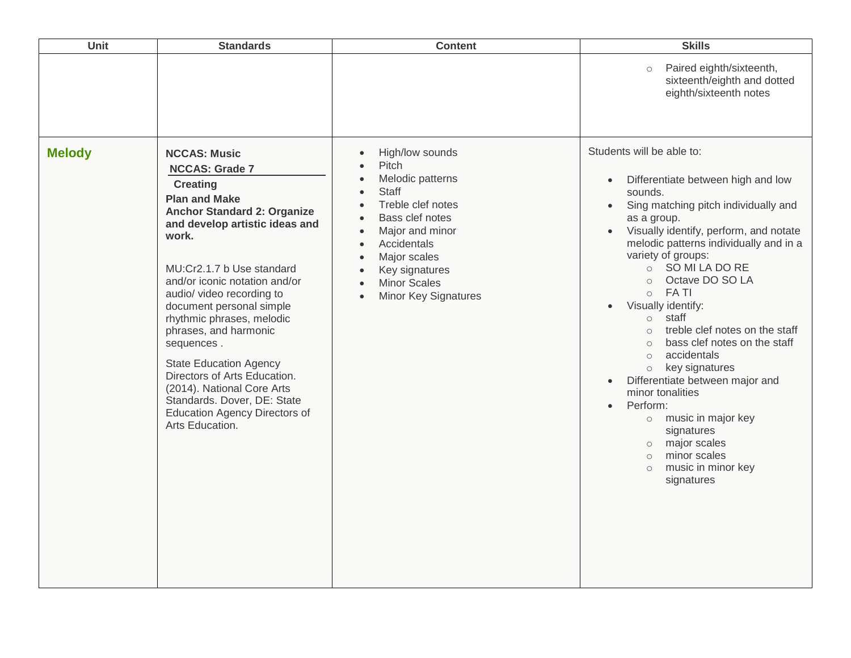| Paired eighth/sixteenth,<br>$\circ$<br>eighth/sixteenth notes                                                                                                                                                                                                                                                                                                                                                                                                                                                                                                                                                                                                                                                                                                                                                                                                                                                                                                                                                                                                                                                                                                                                                                                                                                                                                                                                                                                                                                                        |                                                                                                                                                                                                                                  | <b>Content</b> | <b>Standards</b> | Unit |
|----------------------------------------------------------------------------------------------------------------------------------------------------------------------------------------------------------------------------------------------------------------------------------------------------------------------------------------------------------------------------------------------------------------------------------------------------------------------------------------------------------------------------------------------------------------------------------------------------------------------------------------------------------------------------------------------------------------------------------------------------------------------------------------------------------------------------------------------------------------------------------------------------------------------------------------------------------------------------------------------------------------------------------------------------------------------------------------------------------------------------------------------------------------------------------------------------------------------------------------------------------------------------------------------------------------------------------------------------------------------------------------------------------------------------------------------------------------------------------------------------------------------|----------------------------------------------------------------------------------------------------------------------------------------------------------------------------------------------------------------------------------|----------------|------------------|------|
|                                                                                                                                                                                                                                                                                                                                                                                                                                                                                                                                                                                                                                                                                                                                                                                                                                                                                                                                                                                                                                                                                                                                                                                                                                                                                                                                                                                                                                                                                                                      | sixteenth/eighth and dotted                                                                                                                                                                                                      |                |                  |      |
| Students will be able to:<br><b>Melody</b><br>High/low sounds<br><b>NCCAS: Music</b><br>$\bullet$<br>Pitch<br><b>NCCAS: Grade 7</b><br>Melodic patterns<br>$\bullet$<br>$\bullet$<br><b>Creating</b><br><b>Staff</b><br>sounds.<br>$\bullet$<br><b>Plan and Make</b><br>Treble clef notes<br>$\bullet$<br>$\bullet$<br><b>Anchor Standard 2: Organize</b><br>Bass clef notes<br>as a group.<br>$\bullet$<br>and develop artistic ideas and<br>Major and minor<br>$\bullet$<br>$\bullet$<br>work.<br>Accidentals<br>$\bullet$<br>variety of groups:<br>Major scales<br>$\bullet$<br>○ SO MI LA DO RE<br>MU:Cr2.1.7 b Use standard<br>Key signatures<br>$\bullet$<br>Octave DO SO LA<br>$\circ$<br>and/or iconic notation and/or<br><b>Minor Scales</b><br>$\bullet$<br>$\circ$ FA TI<br>audio/ video recording to<br><b>Minor Key Signatures</b><br>$\bullet$<br>Visually identify:<br>document personal simple<br>$\bullet$<br>staff<br>rhythmic phrases, melodic<br>$\circ$<br>phrases, and harmonic<br>$\circ$<br>sequences.<br>$\circ$<br>accidentals<br>$\circ$<br><b>State Education Agency</b><br>key signatures<br>$\circ$<br>Directors of Arts Education.<br>Differentiate between major and<br>(2014). National Core Arts<br>minor tonalities<br>Standards. Dover, DE: State<br>Perform:<br>$\bullet$<br><b>Education Agency Directors of</b><br>o music in major key<br>Arts Education.<br>signatures<br>major scales<br>$\circ$<br>minor scales<br>$\circ$<br>music in minor key<br>$\circ$<br>signatures | Differentiate between high and low<br>Sing matching pitch individually and<br>Visually identify, perform, and notate<br>melodic patterns individually and in a<br>treble clef notes on the staff<br>bass clef notes on the staff |                |                  |      |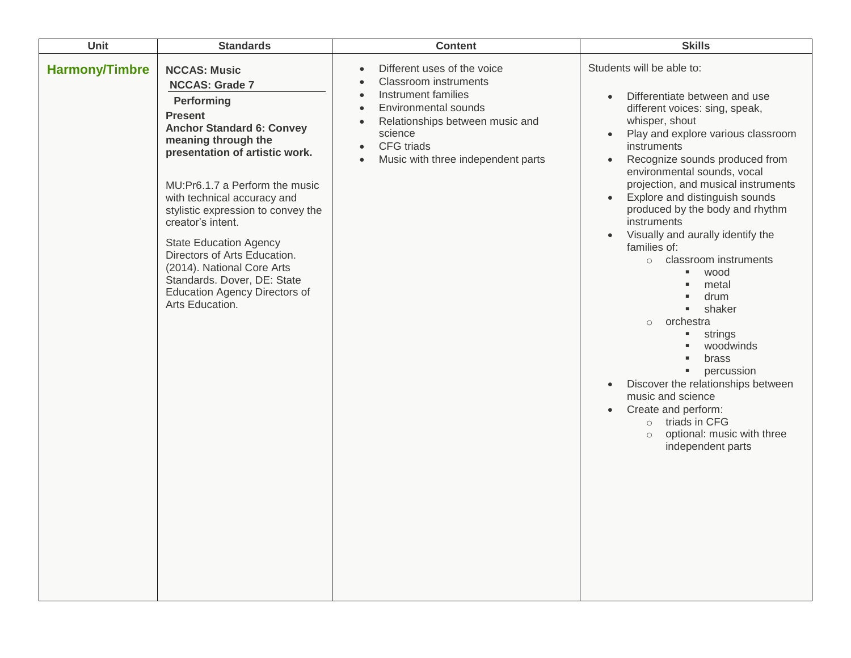| Unit                  | <b>Standards</b>                                                                                                                                                                                                                                                                                                                                                                                                                                                                               | <b>Content</b>                                                                                                                                                                                                                                                                                                 | <b>Skills</b>                                                                                                                                                                                                                                                                                                                                                                                                                                                                                                                                                                                                                                                                                                                                                                                                                          |
|-----------------------|------------------------------------------------------------------------------------------------------------------------------------------------------------------------------------------------------------------------------------------------------------------------------------------------------------------------------------------------------------------------------------------------------------------------------------------------------------------------------------------------|----------------------------------------------------------------------------------------------------------------------------------------------------------------------------------------------------------------------------------------------------------------------------------------------------------------|----------------------------------------------------------------------------------------------------------------------------------------------------------------------------------------------------------------------------------------------------------------------------------------------------------------------------------------------------------------------------------------------------------------------------------------------------------------------------------------------------------------------------------------------------------------------------------------------------------------------------------------------------------------------------------------------------------------------------------------------------------------------------------------------------------------------------------------|
| <b>Harmony/Timbre</b> | <b>NCCAS: Music</b><br><b>NCCAS: Grade 7</b><br>Performing<br><b>Present</b><br><b>Anchor Standard 6: Convey</b><br>meaning through the<br>presentation of artistic work.<br>MU:Pr6.1.7 a Perform the music<br>with technical accuracy and<br>stylistic expression to convey the<br>creator's intent.<br><b>State Education Agency</b><br>Directors of Arts Education.<br>(2014). National Core Arts<br>Standards. Dover, DE: State<br><b>Education Agency Directors of</b><br>Arts Education. | Different uses of the voice<br>$\bullet$<br><b>Classroom instruments</b><br>$\bullet$<br>Instrument families<br>$\bullet$<br><b>Environmental sounds</b><br>$\bullet$<br>Relationships between music and<br>$\bullet$<br>science<br>CFG triads<br>$\bullet$<br>Music with three independent parts<br>$\bullet$ | Students will be able to:<br>Differentiate between and use<br>$\bullet$<br>different voices: sing, speak,<br>whisper, shout<br>Play and explore various classroom<br>$\bullet$<br>instruments<br>Recognize sounds produced from<br>$\bullet$<br>environmental sounds, vocal<br>projection, and musical instruments<br>Explore and distinguish sounds<br>produced by the body and rhythm<br>instruments<br>Visually and aurally identify the<br>$\bullet$<br>families of:<br>classroom instruments<br>$\circ$<br>wood<br>metal<br>drum<br>shaker<br>orchestra<br>$\circ$<br>strings<br>٠<br>woodwinds<br>brass<br>percussion<br>٠<br>Discover the relationships between<br>$\bullet$<br>music and science<br>Create and perform:<br>$\bullet$<br>triads in CFG<br>$\circ$<br>optional: music with three<br>$\circ$<br>independent parts |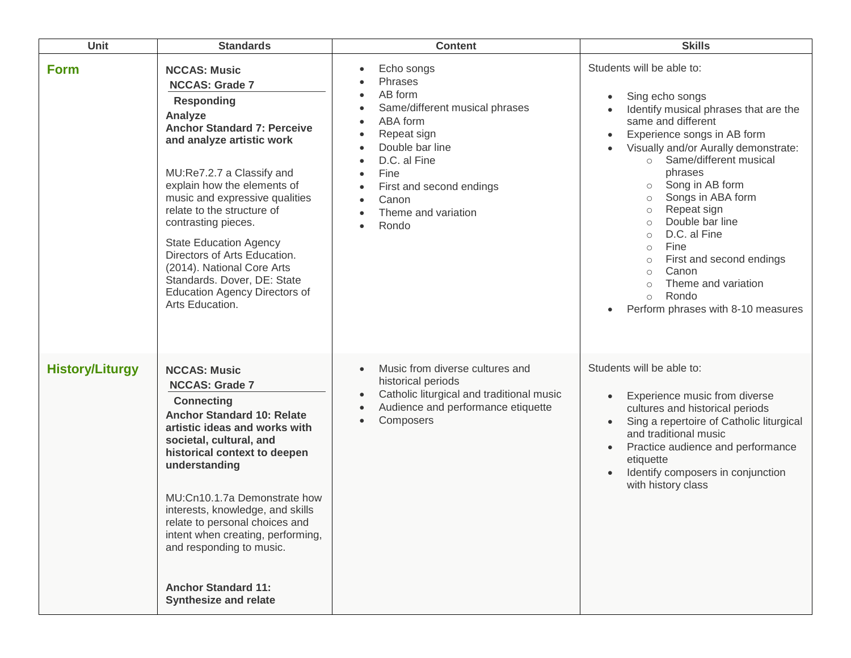| Unit                   | <b>Standards</b>                                                                                                                                                                                                                                                                                                                                                                                                                                                                            | <b>Content</b>                                                                                                                                                                                                                          | <b>Skills</b>                                                                                                                                                                                                                                                                                                                                                                                                                                                                                                                                                                |
|------------------------|---------------------------------------------------------------------------------------------------------------------------------------------------------------------------------------------------------------------------------------------------------------------------------------------------------------------------------------------------------------------------------------------------------------------------------------------------------------------------------------------|-----------------------------------------------------------------------------------------------------------------------------------------------------------------------------------------------------------------------------------------|------------------------------------------------------------------------------------------------------------------------------------------------------------------------------------------------------------------------------------------------------------------------------------------------------------------------------------------------------------------------------------------------------------------------------------------------------------------------------------------------------------------------------------------------------------------------------|
| <b>Form</b>            | <b>NCCAS: Music</b><br><b>NCCAS: Grade 7</b><br><b>Responding</b><br>Analyze<br><b>Anchor Standard 7: Perceive</b><br>and analyze artistic work<br>MU:Re7.2.7 a Classify and<br>explain how the elements of<br>music and expressive qualities<br>relate to the structure of<br>contrasting pieces.<br><b>State Education Agency</b><br>Directors of Arts Education.<br>(2014). National Core Arts<br>Standards. Dover, DE: State<br><b>Education Agency Directors of</b><br>Arts Education. | Echo songs<br>Phrases<br>AB form<br>$\bullet$<br>Same/different musical phrases<br>ABA form<br>$\bullet$<br>Repeat sign<br>Double bar line<br>D.C. al Fine<br>Fine<br>First and second endings<br>Canon<br>Theme and variation<br>Rondo | Students will be able to:<br>Sing echo songs<br>$\bullet$<br>Identify musical phrases that are the<br>same and different<br>Experience songs in AB form<br>$\bullet$<br>Visually and/or Aurally demonstrate:<br>Same/different musical<br>$\circ$<br>phrases<br>Song in AB form<br>$\circ$<br>Songs in ABA form<br>$\circ$<br>Repeat sign<br>$\circ$<br>Double bar line<br>$\circ$<br>D.C. al Fine<br>$\circ$<br>Fine<br>$\circ$<br>First and second endings<br>$\circ$<br>Canon<br>$\circ$<br>Theme and variation<br>Rondo<br>$\circ$<br>Perform phrases with 8-10 measures |
| <b>History/Liturgy</b> | <b>NCCAS: Music</b><br><b>NCCAS: Grade 7</b><br><b>Connecting</b><br><b>Anchor Standard 10: Relate</b><br>artistic ideas and works with<br>societal, cultural, and<br>historical context to deepen<br>understanding<br>MU:Cn10.1.7a Demonstrate how<br>interests, knowledge, and skills<br>relate to personal choices and<br>intent when creating, performing,<br>and responding to music.<br><b>Anchor Standard 11:</b><br><b>Synthesize and relate</b>                                    | Music from diverse cultures and<br>$\bullet$<br>historical periods<br>Catholic liturgical and traditional music<br>Audience and performance etiquette<br>Composers<br>$\bullet$                                                         | Students will be able to:<br>Experience music from diverse<br>cultures and historical periods<br>Sing a repertoire of Catholic liturgical<br>$\bullet$<br>and traditional music<br>Practice audience and performance<br>$\bullet$<br>etiquette<br>Identify composers in conjunction<br>with history class                                                                                                                                                                                                                                                                    |